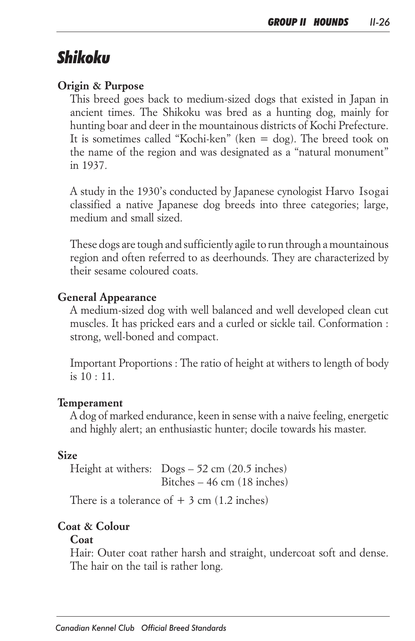# *Shikoku*

#### *Origin & Purpose*

This breed goes back to medium-sized dogs that existed in Japan in ancient times. The Shikoku was bred as a hunting dog, mainly for *hunting boar and deer in the mountainous districts of Kochi Prefecture. It is sometimes called "Kochi-ken" (ken = dog). The breed took on the name of the region and was designated as a "natural monument" in 1937.*

*A study in the 1930's conducted by Japanese cynologist Harvo Isogai classified a native Japanese dog breeds into three categories; large, medium and small sized.* 

*These dogs are tough and sufficiently agile to run through a mountainous region and often referred to as deerhounds. They are characterized by their sesame coloured coats.* 

#### *General Appearance*

*A medium-sized dog with well balanced and well developed clean cut*  muscles. It has pricked ears and a curled or sickle tail. Conformation : *strong, well-boned and compact.*

*Important Proportions : The ratio of height at withers to length of body is 10 : 11.*

#### *Temperament*

*A dog of marked endurance, keen in sense with a naive feeling, energetic and highly alert; an enthusiastic hunter; docile towards his master.*

#### *Size*

*Height at withers: Dogs – 52 cm (20.5 inches) Bitches – 46 cm (18 inches)*

*There is a tolerance of + 3 cm (1.2 inches)*

#### *Coat & Colour*

#### *Coat*

*Hair: Outer coat rather harsh and straight, undercoat soft and dense. The hair on the tail is rather long.*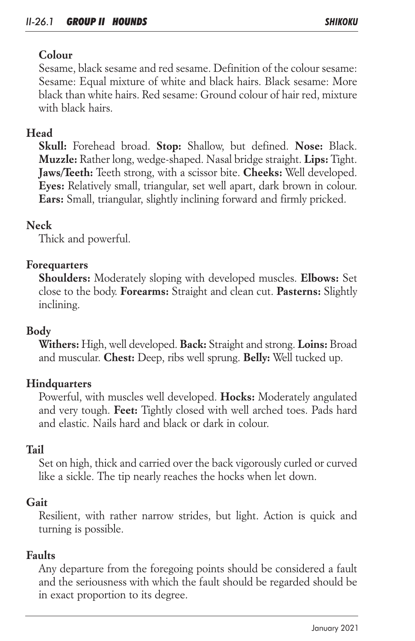# *Colour*

*Sesame, black sesame and red sesame. Definition of the colour sesame: Sesame: Equal mixture of white and black hairs. Black sesame: More black than white hairs. Red sesame: Ground colour of hair red, mixture with black hairs.* 

# *Head*

*Skull: Forehead broad. Stop: Shallow, but defined. Nose: Black. Muzzle: Rather long, wedge-shaped. Nasal bridge straight. Lips: Tight. Jaws/Teeth: Teeth strong, with a scissor bite. Cheeks: Well developed. Eyes: Relatively small, triangular, set well apart, dark brown in colour. Ears: Small, triangular, slightly inclining forward and firmly pricked.*

## *Neck*

*Thick and powerful.*

# *Forequarters*

*Shoulders: Moderately sloping with developed muscles. Elbows: Set close to the body. Forearms: Straight and clean cut. Pasterns: Slightly inclining.*

# *Body*

*Withers: High, well developed. Back: Straight and strong. Loins: Broad and muscular. Chest: Deep, ribs well sprung. Belly: Well tucked up.*

## *Hindquarters*

*Powerful, with muscles well developed. Hocks: Moderately angulated and very tough. Feet: Tightly closed with well arched toes. Pads hard and elastic. Nails hard and black or dark in colour.* 

## *Tail*

Set on high, thick and carried over the back vigorously curled or curved *like a sickle. The tip nearly reaches the hocks when let down.*

## *Gait*

*Resilient, with rather narrow strides, but light. Action is quick and turning is possible.*

## *Faults*

*Any departure from the foregoing points should be considered a fault*  and the seriousness with which the fault should be regarded should be *in exact proportion to its degree.*